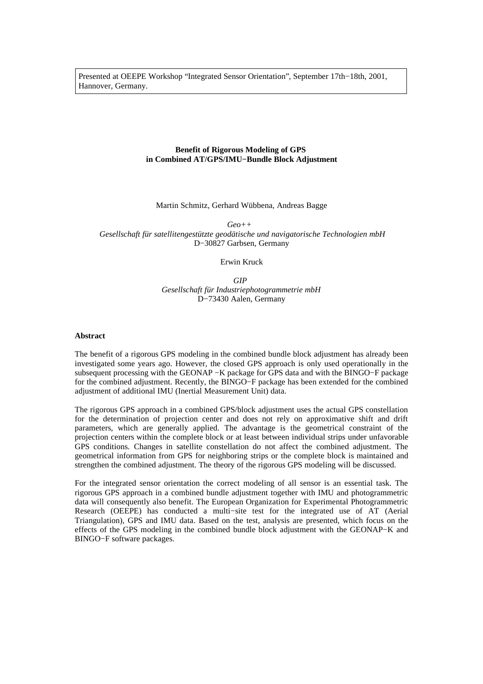Presented at OEEPE Workshop "Integrated Sensor Orientation", September 17th−18th, 2001, Hannover, Germany.

#### **Benefit of Rigorous Modeling of GPS in Combined AT/GPS/IMU−Bundle Block Adjustment**

Martin Schmitz, Gerhard Wübbena, Andreas Bagge

*Geo++ Gesellschaft für satellitengestützte geodätische und navigatorische Technologien mbH* D−30827 Garbsen, Germany

Erwin Kruck

*GIP Gesellschaft für Industriephotogrammetrie mbH* D−73430 Aalen, Germany

### **Abstract**

The benefit of a rigorous GPS modeling in the combined bundle block adjustment has already been investigated some years ago. However, the closed GPS approach is only used operationally in the subsequent processing with the GEONAP −K package for GPS data and with the BINGO−F package for the combined adjustment. Recently, the BINGO−F package has been extended for the combined adjustment of additional IMU (Inertial Measurement Unit) data.

The rigorous GPS approach in a combined GPS/block adjustment uses the actual GPS constellation for the determination of projection center and does not rely on approximative shift and drift parameters, which are generally applied. The advantage is the geometrical constraint of the projection centers within the complete block or at least between individual strips under unfavorable GPS conditions. Changes in satellite constellation do not affect the combined adjustment. The geometrical information from GPS for neighboring strips or the complete block is maintained and strengthen the combined adjustment. The theory of the rigorous GPS modeling will be discussed.

For the integrated sensor orientation the correct modeling of all sensor is an essential task. The rigorous GPS approach in a combined bundle adjustment together with IMU and photogrammetric data will consequently also benefit. The European Organization for Experimental Photogrammetric Research (OEEPE) has conducted a multi−site test for the integrated use of AT (Aerial Triangulation), GPS and IMU data. Based on the test, analysis are presented, which focus on the effects of the GPS modeling in the combined bundle block adjustment with the GEONAP−K and BINGO−F software packages.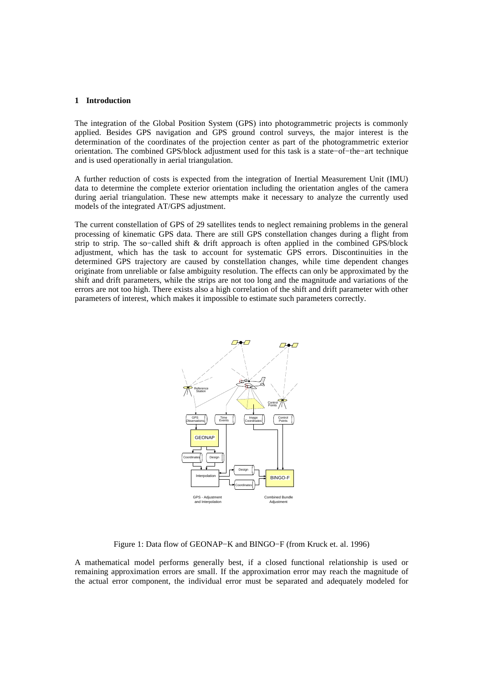#### **1 Introduction**

The integration of the Global Position System (GPS) into photogrammetric projects is commonly applied. Besides GPS navigation and GPS ground control surveys, the major interest is the determination of the coordinates of the projection center as part of the photogrammetric exterior orientation. The combined GPS/block adjustment used for this task is a state−of−the−art technique and is used operationally in aerial triangulation.

A further reduction of costs is expected from the integration of Inertial Measurement Unit (IMU) data to determine the complete exterior orientation including the orientation angles of the camera during aerial triangulation. These new attempts make it necessary to analyze the currently used models of the integrated AT/GPS adjustment.

The current constellation of GPS of 29 satellites tends to neglect remaining problems in the general processing of kinematic GPS data. There are still GPS constellation changes during a flight from strip to strip. The so−called shift & drift approach is often applied in the combined GPS/block adjustment, which has the task to account for systematic GPS errors. Discontinuities in the determined GPS trajectory are caused by constellation changes, while time dependent changes originate from unreliable or false ambiguity resolution. The effects can only be approximated by the shift and drift parameters, while the strips are not too long and the magnitude and variations of the errors are not too high. There exists also a high correlation of the shift and drift parameter with other parameters of interest, which makes it impossible to estimate such parameters correctly.



Figure 1: Data flow of GEONAP−K and BINGO−F (from Kruck et. al. 1996)

A mathematical model performs generally best, if a closed functional relationship is used or remaining approximation errors are small. If the approximation error may reach the magnitude of the actual error component, the individual error must be separated and adequately modeled for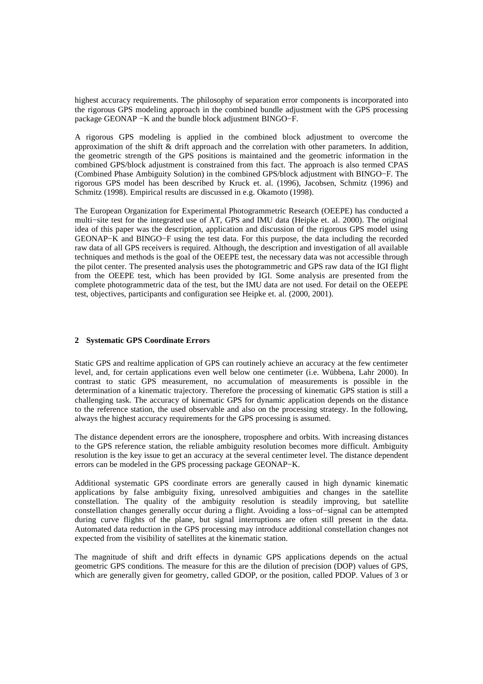highest accuracy requirements. The philosophy of separation error components is incorporated into the rigorous GPS modeling approach in the combined bundle adjustment with the GPS processing package GEONAP −K and the bundle block adjustment BINGO−F.

A rigorous GPS modeling is applied in the combined block adjustment to overcome the approximation of the shift & drift approach and the correlation with other parameters. In addition, the geometric strength of the GPS positions is maintained and the geometric information in the combined GPS/block adjustment is constrained from this fact. The approach is also termed CPAS (Combined Phase Ambiguity Solution) in the combined GPS/block adjustment with BINGO−F. The rigorous GPS model has been described by Kruck et. al. (1996), Jacobsen, Schmitz (1996) and Schmitz (1998). Empirical results are discussed in e.g. Okamoto (1998).

The European Organization for Experimental Photogrammetric Research (OEEPE) has conducted a multi−site test for the integrated use of AT, GPS and IMU data (Heipke et. al. 2000). The original idea of this paper was the description, application and discussion of the rigorous GPS model using GEONAP−K and BINGO−F using the test data. For this purpose, the data including the recorded raw data of all GPS receivers is required. Although, the description and investigation of all available techniques and methods is the goal of the OEEPE test, the necessary data was not accessible through the pilot center. The presented analysis uses the photogrammetric and GPS raw data of the IGI flight from the OEEPE test, which has been provided by IGI. Some analysis are presented from the complete photogrammetric data of the test, but the IMU data are not used. For detail on the OEEPE test, objectives, participants and configuration see Heipke et. al. (2000, 2001).

### **2 Systematic GPS Coordinate Errors**

Static GPS and realtime application of GPS can routinely achieve an accuracy at the few centimeter level, and, for certain applications even well below one centimeter (i.e. Wübbena, Lahr 2000). In contrast to static GPS measurement, no accumulation of measurements is possible in the determination of a kinematic trajectory. Therefore the processing of kinematic GPS station is still a challenging task. The accuracy of kinematic GPS for dynamic application depends on the distance to the reference station, the used observable and also on the processing strategy. In the following, always the highest accuracy requirements for the GPS processing is assumed.

The distance dependent errors are the ionosphere, troposphere and orbits. With increasing distances to the GPS reference station, the reliable ambiguity resolution becomes more difficult. Ambiguity resolution is the key issue to get an accuracy at the several centimeter level. The distance dependent errors can be modeled in the GPS processing package GEONAP−K.

Additional systematic GPS coordinate errors are generally caused in high dynamic kinematic applications by false ambiguity fixing, unresolved ambiguities and changes in the satellite constellation. The quality of the ambiguity resolution is steadily improving, but satellite constellation changes generally occur during a flight. Avoiding a loss−of−signal can be attempted during curve flights of the plane, but signal interruptions are often still present in the data. Automated data reduction in the GPS processing may introduce additional constellation changes not expected from the visibility of satellites at the kinematic station.

The magnitude of shift and drift effects in dynamic GPS applications depends on the actual geometric GPS conditions. The measure for this are the dilution of precision (DOP) values of GPS, which are generally given for geometry, called GDOP, or the position, called PDOP. Values of 3 or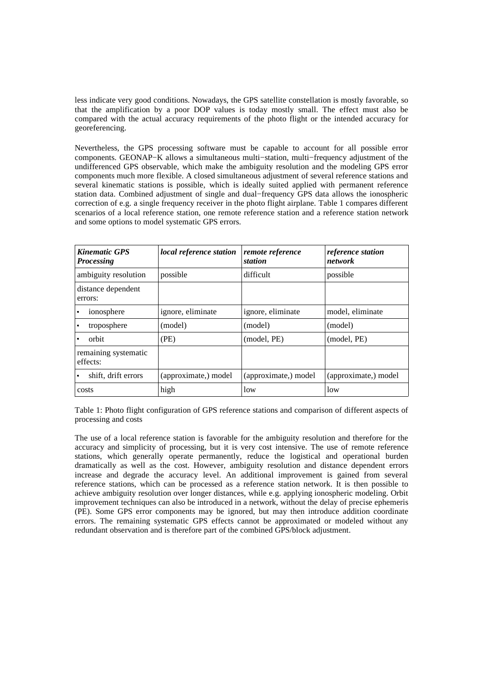less indicate very good conditions. Nowadays, the GPS satellite constellation is mostly favorable, so that the amplification by a poor DOP values is today mostly small. The effect must also be compared with the actual accuracy requirements of the photo flight or the intended accuracy for georeferencing.

Nevertheless, the GPS processing software must be capable to account for all possible error components. GEONAP−K allows a simultaneous multi−station, multi−frequency adjustment of the undifferenced GPS observable, which make the ambiguity resolution and the modeling GPS error components much more flexible. A closed simultaneous adjustment of several reference stations and several kinematic stations is possible, which is ideally suited applied with permanent reference station data. Combined adjustment of single and dual−frequency GPS data allows the ionospheric correction of e.g. a single frequency receiver in the photo flight airplane. Table 1 compares different scenarios of a local reference station, one remote reference station and a reference station network and some options to model systematic GPS errors.

| <b>Kinematic GPS</b><br><b>Processing</b> | local reference station | remote reference<br>station | <i>reference station</i><br><i>network</i> |
|-------------------------------------------|-------------------------|-----------------------------|--------------------------------------------|
| ambiguity resolution                      | possible                | difficult                   | possible                                   |
| distance dependent<br>errors:             |                         |                             |                                            |
| ionosphere                                | ignore, eliminate       | ignore, eliminate           | model, eliminate                           |
| troposphere                               | (model)                 | (model)                     | (model)                                    |
| orbit                                     | (PE)                    | (model, PE)                 | (model, PE)                                |
| remaining systematic<br>effects:          |                         |                             |                                            |
| shift, drift errors                       | (approximate,) model    | (approximate,) model        | (approximate,) model                       |
| costs                                     | high                    | low                         | low                                        |

Table 1: Photo flight configuration of GPS reference stations and comparison of different aspects of processing and costs

The use of a local reference station is favorable for the ambiguity resolution and therefore for the accuracy and simplicity of processing, but it is very cost intensive. The use of remote reference stations, which generally operate permanently, reduce the logistical and operational burden dramatically as well as the cost. However, ambiguity resolution and distance dependent errors increase and degrade the accuracy level. An additional improvement is gained from several reference stations, which can be processed as a reference station network. It is then possible to achieve ambiguity resolution over longer distances, while e.g. applying ionospheric modeling. Orbit improvement techniques can also be introduced in a network, without the delay of precise ephemeris (PE). Some GPS error components may be ignored, but may then introduce addition coordinate errors. The remaining systematic GPS effects cannot be approximated or modeled without any redundant observation and is therefore part of the combined GPS/block adjustment.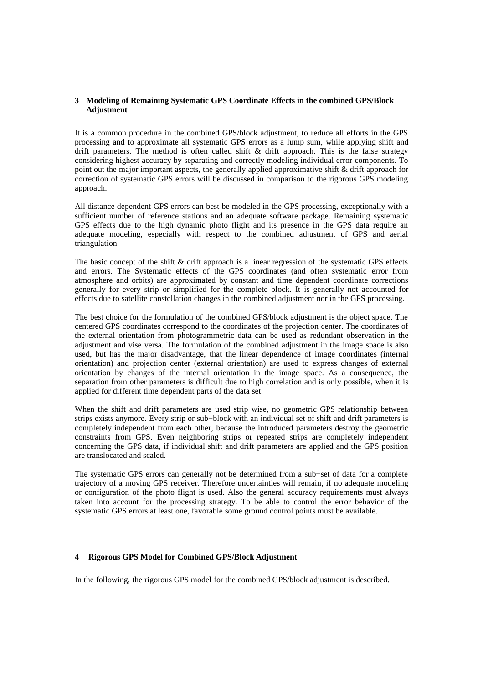# **3 Modeling of Remaining Systematic GPS Coordinate Effects in the combined GPS/Block Adjustment**

It is a common procedure in the combined GPS/block adjustment, to reduce all efforts in the GPS processing and to approximate all systematic GPS errors as a lump sum, while applying shift and drift parameters. The method is often called shift  $\&$  drift approach. This is the false strategy considering highest accuracy by separating and correctly modeling individual error components. To point out the major important aspects, the generally applied approximative shift & drift approach for correction of systematic GPS errors will be discussed in comparison to the rigorous GPS modeling approach.

All distance dependent GPS errors can best be modeled in the GPS processing, exceptionally with a sufficient number of reference stations and an adequate software package. Remaining systematic GPS effects due to the high dynamic photo flight and its presence in the GPS data require an adequate modeling, especially with respect to the combined adjustment of GPS and aerial triangulation.

The basic concept of the shift & drift approach is a linear regression of the systematic GPS effects and errors. The Systematic effects of the GPS coordinates (and often systematic error from atmosphere and orbits) are approximated by constant and time dependent coordinate corrections generally for every strip or simplified for the complete block. It is generally not accounted for effects due to satellite constellation changes in the combined adjustment nor in the GPS processing.

The best choice for the formulation of the combined GPS/block adjustment is the object space. The centered GPS coordinates correspond to the coordinates of the projection center. The coordinates of the external orientation from photogrammetric data can be used as redundant observation in the adjustment and vise versa. The formulation of the combined adjustment in the image space is also used, but has the major disadvantage, that the linear dependence of image coordinates (internal orientation) and projection center (external orientation) are used to express changes of external orientation by changes of the internal orientation in the image space. As a consequence, the separation from other parameters is difficult due to high correlation and is only possible, when it is applied for different time dependent parts of the data set.

When the shift and drift parameters are used strip wise, no geometric GPS relationship between strips exists anymore. Every strip or sub−block with an individual set of shift and drift parameters is completely independent from each other, because the introduced parameters destroy the geometric constraints from GPS. Even neighboring strips or repeated strips are completely independent concerning the GPS data, if individual shift and drift parameters are applied and the GPS position are translocated and scaled.

The systematic GPS errors can generally not be determined from a sub−set of data for a complete trajectory of a moving GPS receiver. Therefore uncertainties will remain, if no adequate modeling or configuration of the photo flight is used. Also the general accuracy requirements must always taken into account for the processing strategy. To be able to control the error behavior of the systematic GPS errors at least one, favorable some ground control points must be available.

## **4 Rigorous GPS Model for Combined GPS/Block Adjustment**

In the following, the rigorous GPS model for the combined GPS/block adjustment is described.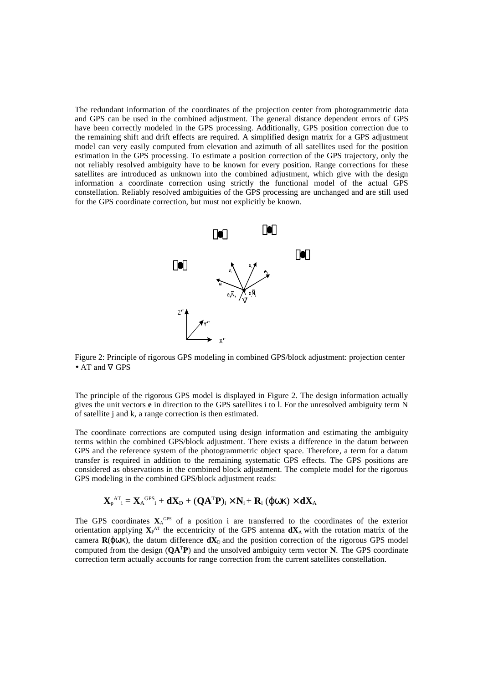The redundant information of the coordinates of the projection center from photogrammetric data and GPS can be used in the combined adjustment. The general distance dependent errors of GPS have been correctly modeled in the GPS processing. Additionally, GPS position correction due to the remaining shift and drift effects are required. A simplified design matrix for a GPS adjustment model can very easily computed from elevation and azimuth of all satellites used for the position estimation in the GPS processing. To estimate a position correction of the GPS trajectory, only the not reliably resolved ambiguity have to be known for every position. Range corrections for these satellites are introduced as unknown into the combined adjustment, which give with the design information a coordinate correction using strictly the functional model of the actual GPS constellation. Reliably resolved ambiguities of the GPS processing are unchanged and are still used for the GPS coordinate correction, but must not explicitly be known.



Figure 2: Principle of rigorous GPS modeling in combined GPS/block adjustment: projection center • AT and  $\nabla$  GPS

The principle of the rigorous GPS model is displayed in Figure 2. The design information actually gives the unit vectors **e** in direction to the GPS satellites i to l. For the unresolved ambiguity term N of satellite j and k, a range correction is then estimated.

The coordinate corrections are computed using design information and estimating the ambiguity terms within the combined GPS/block adjustment. There exists a difference in the datum between GPS and the reference system of the photogrammetric object space. Therefore, a term for a datum transfer is required in addition to the remaining systematic GPS effects. The GPS positions are considered as observations in the combined block adjustment. The complete model for the rigorous GPS modeling in the combined GPS/block adjustment reads:

$$
\mathbf{X}_{\mathrm{p}}^{\mathrm{AT}} \mathbf{I} = \mathbf{X}_{\mathrm{A}}^{\mathrm{GPS}} \mathbf{I} + \mathbf{dX}_{\mathrm{D}} + (\mathbf{Q}\mathbf{A}^{\mathrm{T}}\mathbf{P})\mathbf{I} \times \mathbf{N}_{\mathrm{i}} + \mathbf{R}_{\mathrm{i}} \left(\boldsymbol{\phi}\boldsymbol{\omega}\boldsymbol{\kappa}\right) \times \mathbf{dX}_{\mathrm{A}}
$$

The GPS coordinates  $X_A^{GPS}$  of a position i are transferred to the coordinates of the exterior orientation applying  $X_P^{\text{AT}}$  the eccentricity of the GPS antenna  $dX_A$  with the rotation matrix of the camera  $\mathbf{R}(\varphi \omega \kappa)$ , the datum difference  $d\mathbf{X}_D$  and the position correction of the rigorous GPS model computed from the design (**QA** <sup>T</sup>**P**) and the unsolved ambiguity term vector **N**. The GPS coordinate correction term actually accounts for range correction from the current satellites constellation.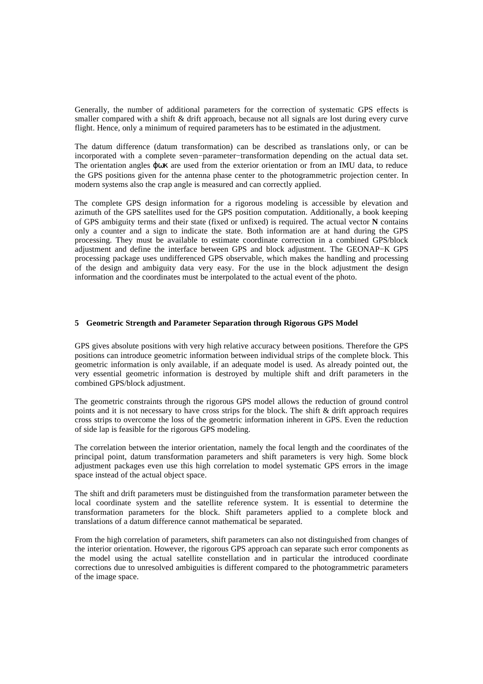Generally, the number of additional parameters for the correction of systematic GPS effects is smaller compared with a shift & drift approach, because not all signals are lost during every curve flight. Hence, only a minimum of required parameters has to be estimated in the adjustment.

The datum difference (datum transformation) can be described as translations only, or can be incorporated with a complete seven−parameter−transformation depending on the actual data set. The orientation angles ϕωκ are used from the exterior orientation or from an IMU data, to reduce the GPS positions given for the antenna phase center to the photogrammetric projection center. In modern systems also the crap angle is measured and can correctly applied.

The complete GPS design information for a rigorous modeling is accessible by elevation and azimuth of the GPS satellites used for the GPS position computation. Additionally, a book keeping of GPS ambiguity terms and their state (fixed or unfixed) is required. The actual vector **N** contains only a counter and a sign to indicate the state. Both information are at hand during the GPS processing. They must be available to estimate coordinate correction in a combined GPS/block adjustment and define the interface between GPS and block adjustment. The GEONAP−K GPS processing package uses undifferenced GPS observable, which makes the handling and processing of the design and ambiguity data very easy. For the use in the block adjustment the design information and the coordinates must be interpolated to the actual event of the photo.

#### **5 Geometric Strength and Parameter Separation through Rigorous GPS Model**

GPS gives absolute positions with very high relative accuracy between positions. Therefore the GPS positions can introduce geometric information between individual strips of the complete block. This geometric information is only available, if an adequate model is used. As already pointed out, the very essential geometric information is destroyed by multiple shift and drift parameters in the combined GPS/block adjustment.

The geometric constraints through the rigorous GPS model allows the reduction of ground control points and it is not necessary to have cross strips for the block. The shift & drift approach requires cross strips to overcome the loss of the geometric information inherent in GPS. Even the reduction of side lap is feasible for the rigorous GPS modeling.

The correlation between the interior orientation, namely the focal length and the coordinates of the principal point, datum transformation parameters and shift parameters is very high. Some block adjustment packages even use this high correlation to model systematic GPS errors in the image space instead of the actual object space.

The shift and drift parameters must be distinguished from the transformation parameter between the local coordinate system and the satellite reference system. It is essential to determine the transformation parameters for the block. Shift parameters applied to a complete block and translations of a datum difference cannot mathematical be separated.

From the high correlation of parameters, shift parameters can also not distinguished from changes of the interior orientation. However, the rigorous GPS approach can separate such error components as the model using the actual satellite constellation and in particular the introduced coordinate corrections due to unresolved ambiguities is different compared to the photogrammetric parameters of the image space.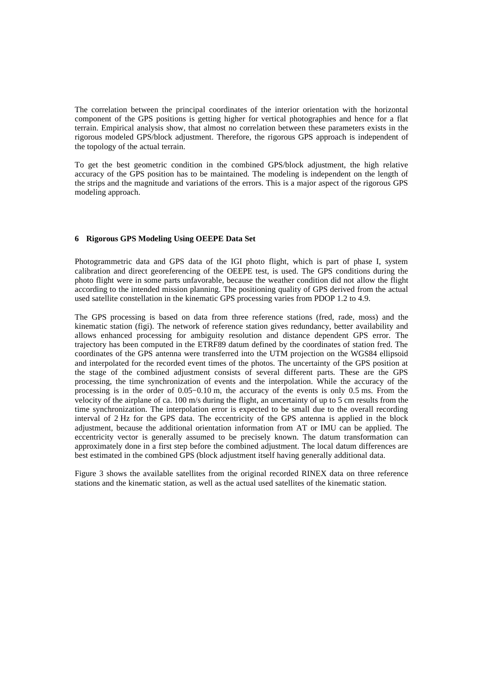The correlation between the principal coordinates of the interior orientation with the horizontal component of the GPS positions is getting higher for vertical photographies and hence for a flat terrain. Empirical analysis show, that almost no correlation between these parameters exists in the rigorous modeled GPS/block adjustment. Therefore, the rigorous GPS approach is independent of the topology of the actual terrain.

To get the best geometric condition in the combined GPS/block adjustment, the high relative accuracy of the GPS position has to be maintained. The modeling is independent on the length of the strips and the magnitude and variations of the errors. This is a major aspect of the rigorous GPS modeling approach.

### **6 Rigorous GPS Modeling Using OEEPE Data Set**

Photogrammetric data and GPS data of the IGI photo flight, which is part of phase I, system calibration and direct georeferencing of the OEEPE test, is used. The GPS conditions during the photo flight were in some parts unfavorable, because the weather condition did not allow the flight according to the intended mission planning. The positioning quality of GPS derived from the actual used satellite constellation in the kinematic GPS processing varies from PDOP 1.2 to 4.9.

The GPS processing is based on data from three reference stations (fred, rade, moss) and the kinematic station (figi). The network of reference station gives redundancy, better availability and allows enhanced processing for ambiguity resolution and distance dependent GPS error. The trajectory has been computed in the ETRF89 datum defined by the coordinates of station fred. The coordinates of the GPS antenna were transferred into the UTM projection on the WGS84 ellipsoid and interpolated for the recorded event times of the photos. The uncertainty of the GPS position at the stage of the combined adjustment consists of several different parts. These are the GPS processing, the time synchronization of events and the interpolation. While the accuracy of the processing is in the order of 0.05−0.10 m, the accuracy of the events is only 0.5 ms. From the velocity of the airplane of ca. 100 m/s during the flight, an uncertainty of up to 5 cm results from the time synchronization. The interpolation error is expected to be small due to the overall recording interval of 2 Hz for the GPS data. The eccentricity of the GPS antenna is applied in the block adjustment, because the additional orientation information from AT or IMU can be applied. The eccentricity vector is generally assumed to be precisely known. The datum transformation can approximately done in a first step before the combined adjustment. The local datum differences are best estimated in the combined GPS (block adjustment itself having generally additional data.

Figure 3 shows the available satellites from the original recorded RINEX data on three reference stations and the kinematic station, as well as the actual used satellites of the kinematic station.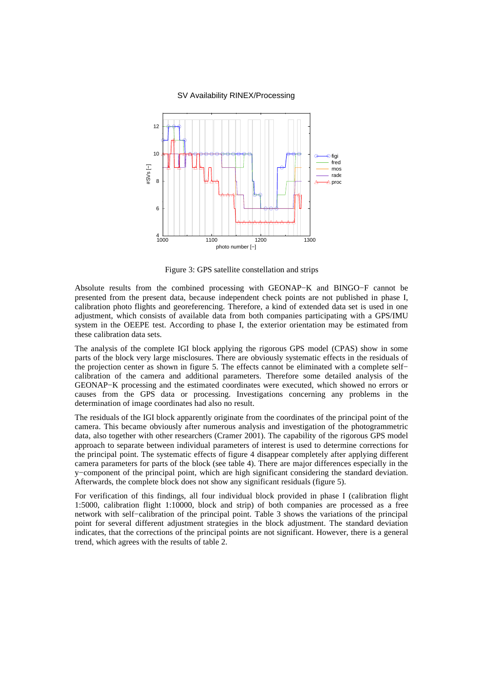#### SV Availability RINEX/Processing



Figure 3: GPS satellite constellation and strips

Absolute results from the combined processing with GEONAP−K and BINGO−F cannot be presented from the present data, because independent check points are not published in phase I, calibration photo flights and georeferencing. Therefore, a kind of extended data set is used in one adjustment, which consists of available data from both companies participating with a GPS/IMU system in the OEEPE test. According to phase I, the exterior orientation may be estimated from these calibration data sets.

The analysis of the complete IGI block applying the rigorous GPS model (CPAS) show in some parts of the block very large misclosures. There are obviously systematic effects in the residuals of the projection center as shown in figure 5. The effects cannot be eliminated with a complete self− calibration of the camera and additional parameters. Therefore some detailed analysis of the GEONAP−K processing and the estimated coordinates were executed, which showed no errors or causes from the GPS data or processing. Investigations concerning any problems in the determination of image coordinates had also no result.

The residuals of the IGI block apparently originate from the coordinates of the principal point of the camera. This became obviously after numerous analysis and investigation of the photogrammetric data, also together with other researchers (Cramer 2001). The capability of the rigorous GPS model approach to separate between individual parameters of interest is used to determine corrections for the principal point. The systematic effects of figure 4 disappear completely after applying different camera parameters for parts of the block (see table 4). There are major differences especially in the y−component of the principal point, which are high significant considering the standard deviation. Afterwards, the complete block does not show any significant residuals (figure 5).

For verification of this findings, all four individual block provided in phase I (calibration flight 1:5000, calibration flight 1:10000, block and strip) of both companies are processed as a free network with self−calibration of the principal point. Table 3 shows the variations of the principal point for several different adjustment strategies in the block adjustment. The standard deviation indicates, that the corrections of the principal points are not significant. However, there is a general trend, which agrees with the results of table 2.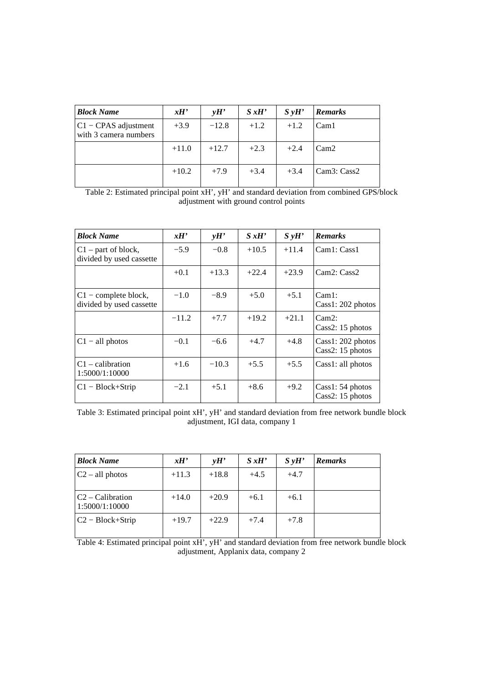| <b>Block Name</b>                               | xH'     | vH'     | S x H' | $S \nu H'$ | <b>Remarks</b>                       |
|-------------------------------------------------|---------|---------|--------|------------|--------------------------------------|
| $C1 - CPAS$ adjustment<br>with 3 camera numbers | $+3.9$  | $-12.8$ | $+1.2$ | $+1.2$     | Cam1                                 |
|                                                 | $+11.0$ | $+12.7$ | $+2.3$ | $+2.4$     | Cam2                                 |
|                                                 | $+10.2$ | $+7.9$  | $+3.4$ | $+3.4$     | Cam <sub>3</sub> : Cass <sub>2</sub> |

Table 2: Estimated principal point xH', yH' and standard deviation from combined GPS/block adjustment with ground control points

| <b>Block Name</b>                                  | xH'     | yH'     | S x H'  | S yH'   | <b>Remarks</b>                               |
|----------------------------------------------------|---------|---------|---------|---------|----------------------------------------------|
| $C1$ – part of block,<br>divided by used cassette  | $-5.9$  | $-0.8$  | $+10.5$ | $+11.4$ | Cam1: Cass1                                  |
|                                                    | $+0.1$  | $+13.3$ | $+22.4$ | $+23.9$ | Cam2: Cass2                                  |
| $C1$ – complete block,<br>divided by used cassette | $-1.0$  | $-8.9$  | $+5.0$  | $+5.1$  | Cam1:<br>$\text{Cass1: } 202 \text{ photos}$ |
|                                                    | $-11.2$ | $+7.7$  | $+19.2$ | $+21.1$ | Cam2:<br>Cass2: $15$ photos                  |
| $C1 - all photons$                                 | $-0.1$  | $-6.6$  | $+4.7$  | $+4.8$  | Cass1: 202 photos<br>Cass2: 15 photos        |
| $C1 - calibration$<br>1:5000/1:10000               | $+1.6$  | $-10.3$ | $+5.5$  | $+5.5$  | Cass1: all photos                            |
| $C1 - Block + String$                              | $-2.1$  | $+5.1$  | $+8.6$  | $+9.2$  | Cass1: 54 photos<br>Cass2: 15 photos         |

Table 3: Estimated principal point xH', yH' and standard deviation from free network bundle block adjustment, IGI data, company 1

| <b>Block Name</b>                    | xH'     | vH'     | S x H' | $S \nu H'$ | <b>Remarks</b> |
|--------------------------------------|---------|---------|--------|------------|----------------|
| $C2 - all photons$                   | $+11.3$ | $+18.8$ | $+4.5$ | $+4.7$     |                |
| $C2 - Calibration$<br>1:5000/1:10000 | $+14.0$ | $+20.9$ | $+6.1$ | $+6.1$     |                |
| $C2 - Block + Strip$                 | $+19.7$ | $+22.9$ | $+7.4$ | $+7.8$     |                |

Table 4: Estimated principal point xH', yH' and standard deviation from free network bundle block adjustment, Applanix data, company 2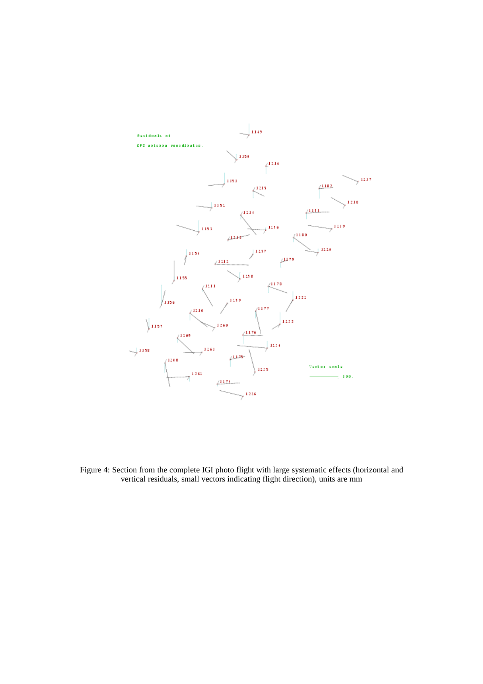

Figure 4: Section from the complete IGI photo flight with large systematic effects (horizontal and vertical residuals, small vectors indicating flight direction), units are mm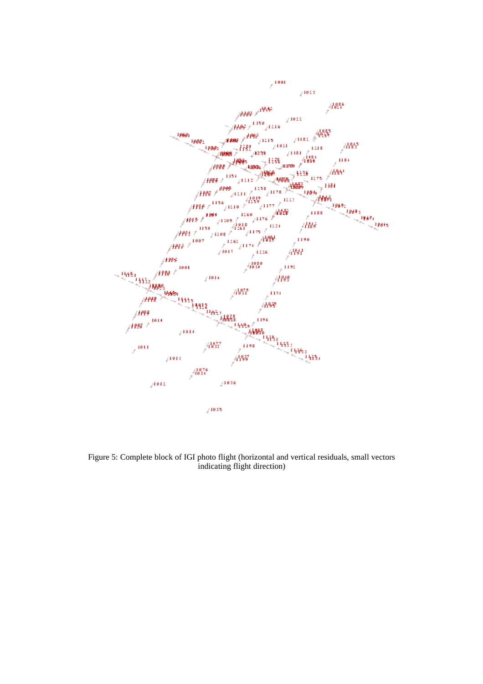

Figure 5: Complete block of IGI photo flight (horizontal and vertical residuals, small vectors indicating flight direction)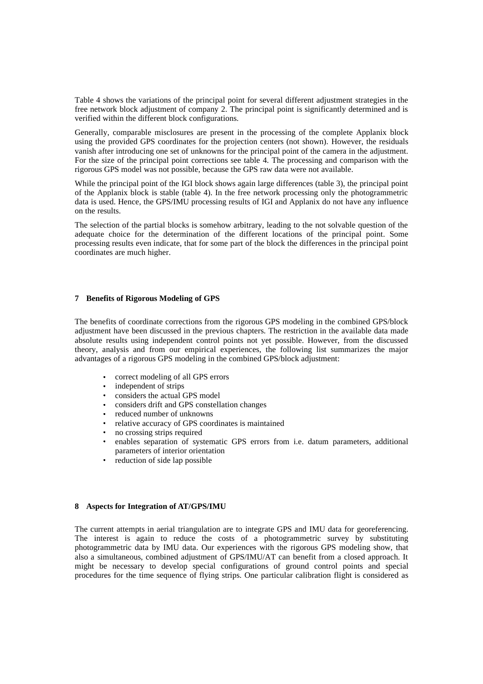Table 4 shows the variations of the principal point for several different adjustment strategies in the free network block adjustment of company 2. The principal point is significantly determined and is verified within the different block configurations.

Generally, comparable misclosures are present in the processing of the complete Applanix block using the provided GPS coordinates for the projection centers (not shown). However, the residuals vanish after introducing one set of unknowns for the principal point of the camera in the adjustment. For the size of the principal point corrections see table 4. The processing and comparison with the rigorous GPS model was not possible, because the GPS raw data were not available.

While the principal point of the IGI block shows again large differences (table 3), the principal point of the Applanix block is stable (table 4). In the free network processing only the photogrammetric data is used. Hence, the GPS/IMU processing results of IGI and Applanix do not have any influence on the results.

The selection of the partial blocks is somehow arbitrary, leading to the not solvable question of the adequate choice for the determination of the different locations of the principal point. Some processing results even indicate, that for some part of the block the differences in the principal point coordinates are much higher.

## **7 Benefits of Rigorous Modeling of GPS**

The benefits of coordinate corrections from the rigorous GPS modeling in the combined GPS/block adjustment have been discussed in the previous chapters. The restriction in the available data made absolute results using independent control points not yet possible. However, from the discussed theory, analysis and from our empirical experiences, the following list summarizes the major advantages of a rigorous GPS modeling in the combined GPS/block adjustment:

- correct modeling of all GPS errors
- independent of strips
- considers the actual GPS model
- considers drift and GPS constellation changes
- reduced number of unknowns
- relative accuracy of GPS coordinates is maintained
- $\bullet$ no crossing strips required
- $\bullet$  . enables separation of systematic GPS errors from i.e. datum parameters, additional parameters of interior orientation
- reduction of side lap possible

## **8 Aspects for Integration of AT/GPS/IMU**

The current attempts in aerial triangulation are to integrate GPS and IMU data for georeferencing. The interest is again to reduce the costs of a photogrammetric survey by substituting photogrammetric data by IMU data. Our experiences with the rigorous GPS modeling show, that also a simultaneous, combined adjustment of GPS/IMU/AT can benefit from a closed approach. It might be necessary to develop special configurations of ground control points and special procedures for the time sequence of flying strips. One particular calibration flight is considered as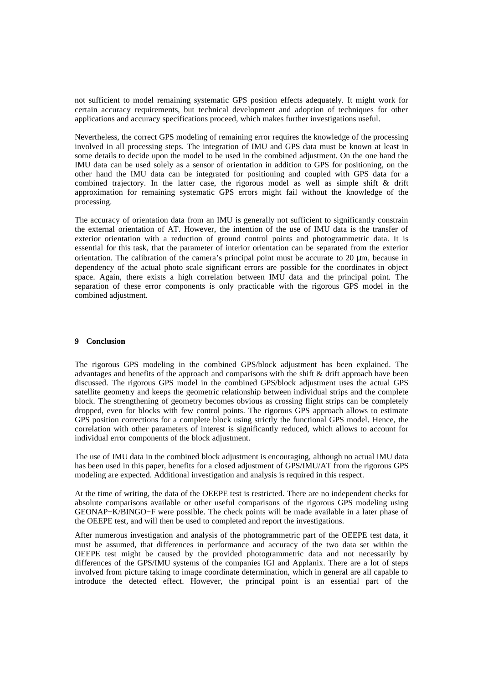not sufficient to model remaining systematic GPS position effects adequately. It might work for certain accuracy requirements, but technical development and adoption of techniques for other applications and accuracy specifications proceed, which makes further investigations useful.

Nevertheless, the correct GPS modeling of remaining error requires the knowledge of the processing involved in all processing steps. The integration of IMU and GPS data must be known at least in some details to decide upon the model to be used in the combined adjustment. On the one hand the IMU data can be used solely as a sensor of orientation in addition to GPS for positioning, on the other hand the IMU data can be integrated for positioning and coupled with GPS data for a combined trajectory. In the latter case, the rigorous model as well as simple shift & drift approximation for remaining systematic GPS errors might fail without the knowledge of the processing.

The accuracy of orientation data from an IMU is generally not sufficient to significantly constrain the external orientation of AT. However, the intention of the use of IMU data is the transfer of exterior orientation with a reduction of ground control points and photogrammetric data. It is essential for this task, that the parameter of interior orientation can be separated from the exterior orientation. The calibration of the camera's principal point must be accurate to 20 µm, because in dependency of the actual photo scale significant errors are possible for the coordinates in object space. Again, there exists a high correlation between IMU data and the principal point. The separation of these error components is only practicable with the rigorous GPS model in the combined adjustment.

#### **9 Conclusion**

The rigorous GPS modeling in the combined GPS/block adjustment has been explained. The advantages and benefits of the approach and comparisons with the shift & drift approach have been discussed. The rigorous GPS model in the combined GPS/block adjustment uses the actual GPS satellite geometry and keeps the geometric relationship between individual strips and the complete block. The strengthening of geometry becomes obvious as crossing flight strips can be completely dropped, even for blocks with few control points. The rigorous GPS approach allows to estimate GPS position corrections for a complete block using strictly the functional GPS model. Hence, the correlation with other parameters of interest is significantly reduced, which allows to account for individual error components of the block adjustment.

The use of IMU data in the combined block adjustment is encouraging, although no actual IMU data has been used in this paper, benefits for a closed adjustment of GPS/IMU/AT from the rigorous GPS modeling are expected. Additional investigation and analysis is required in this respect.

At the time of writing, the data of the OEEPE test is restricted. There are no independent checks for absolute comparisons available or other useful comparisons of the rigorous GPS modeling using GEONAP−K/BINGO−F were possible. The check points will be made available in a later phase of the OEEPE test, and will then be used to completed and report the investigations.

After numerous investigation and analysis of the photogrammetric part of the OEEPE test data, it must be assumed, that differences in performance and accuracy of the two data set within the OEEPE test might be caused by the provided photogrammetric data and not necessarily by differences of the GPS/IMU systems of the companies IGI and Applanix. There are a lot of steps involved from picture taking to image coordinate determination, which in general are all capable to introduce the detected effect. However, the principal point is an essential part of the